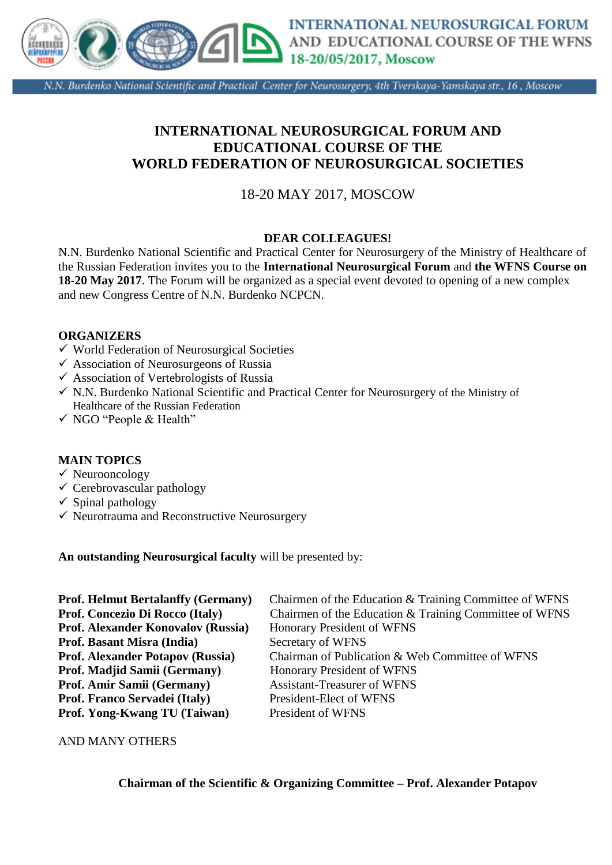

N.N. Burdenko National Scientific and Practical Center for Neurosurgery, 4th Tverskaya-Yamskaya str., 16, Moscow

# **INTERNATIONAL NEUROSURGICAL FORUM AND EDUCATIONAL COURSE OF THE WORLD FEDERATION OF NEUROSURGICAL SOCIETIES**

## 18-20 MAY 2017, MOSCOW

## **DEAR COLLEAGUES!**

N.N. Burdenko National Scientific and Practical Center for Neurosurgery of the Ministry of Healthcare of the Russian Federation invites you to the **International Neurosurgical Forum** and **the WFNS Course on 18-20 May 2017**. The Forum will be organized as a special event devoted to opening of a new complex and new Congress Centre of N.N. Burdenko NCPCN.

### **ORGANIZERS**

- $\checkmark$  World Federation of Neurosurgical Societies
- $\checkmark$  Association of Neurosurgeons of Russia
- $\checkmark$  Association of Vertebrologists of Russia
- $\checkmark$  N.N. Burdenko National Scientific and Practical Center for Neurosurgery of the Ministry of Healthcare of the Russian Federation
- NGO "People & Health"

#### **MAIN TOPICS**

- $\checkmark$  Neurooncology
- $\checkmark$  Cerebrovascular pathology
- $\checkmark$  Spinal pathology
- $\checkmark$  Neurotrauma and Reconstructive Neurosurgery

**An outstanding Neurosurgical faculty** will be presented by:

| <b>Prof. Helmut Bertalanffy (Germany)</b> | Chairmen of the Education & Training Committee of WFNS |
|-------------------------------------------|--------------------------------------------------------|
| Prof. Concezio Di Rocco (Italy)           | Chairmen of the Education & Training Committee of WFNS |
| Prof. Alexander Konovalov (Russia)        | Honorary President of WFNS                             |
| <b>Prof. Basant Misra (India)</b>         | Secretary of WFNS                                      |
| <b>Prof. Alexander Potapov (Russia)</b>   | Chairman of Publication & Web Committee of WFNS        |
| Prof. Madjid Samii (Germany)              | Honorary President of WFNS                             |
| Prof. Amir Samii (Germany)                | <b>Assistant-Treasurer of WFNS</b>                     |
| Prof. Franco Servadei (Italy)             | President-Elect of WFNS                                |
| Prof. Yong-Kwang TU (Taiwan)              | President of WFNS                                      |

#### AND MANY OTHERS

**Chairman of the Scientific & Organizing Committee – Prof. Alexander Potapov**